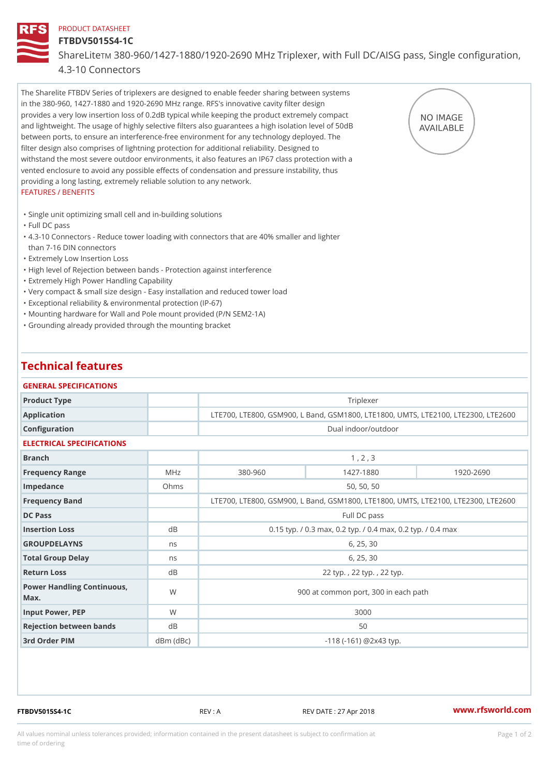### PRODUCT DATASHEET

## FTBDV5015S4-1C

ShareLTM 880-960/1427-1880/1920-2690 MHz Triplexer, with Full DC/AIS

### 4.3-10 Connectors

The Sharelite FTBDV Series of triplexers are designed to enable feeder sharing between systems in the 380-960, 1427-1880 and 1920-2690 MHz range. RFS's innovative cavity filter design provides a very low insertion loss of 0.2dB typical while keeping the product extremely compact and lightweight. The usage of highly selective filters also guarantees a high isolation level of 50dB between ports, to ensure an interference-free environment for any technology deployed. The filter design also comprises of lightning protection for additional reliability. Designed to withstand the most severe outdoor environments, it also features an IP67 class protection with a vented enclosure to avoid any possible effects of condensation and pressure instability, thus providing a long lasting, extremely reliable solution to any network. FEATURES / BENEFITS

"Single unit optimizing small cell and in-building solutions

"Full DC pass

- 4.3-10 Connectors Reduce tower loading with connectors that are 40% smaller and lighter " than 7-16 DIN connectors
- "Extremely Low Insertion Loss
- "High level of Rejection between bands Protection against interference
- "Extremely High Power Handling Capability
- "Very compact & small size design Easy installation and reduced tower load
- "Exceptional reliability & environmental protection (IP-67)
- "Mounting hardware for Wall and Pole mount provided (P/N SEM2-1A)
- "Grounding already provided through the mounting bracket

# Technical features

| GENERAL SPECIFICATIONS                                                       |
|------------------------------------------------------------------------------|
| Triplexer<br>Product Type                                                    |
| LTE700, LTE800, GSM900, L Band, GSM1800, LTE1800, UMTS, L<br>Application     |
| Dual indoor/outdoor<br>Configuration                                         |
| ELECTRICAL SPECIFICATIONS                                                    |
| 1, 2, 3<br><b>Branch</b>                                                     |
| $380 - 960$<br>$1920 - 2690$<br>1427-1880<br>Frequency Range<br>MHz          |
| 50, 50, 50<br>Impedance<br>Ohms                                              |
| LTE700, LTE800, GSM900, L Band, GSM1800, LTE1800, UMTS, L<br>Frequency Band  |
| DC Pass<br>Full DC pass                                                      |
| 0.15 typ. / 0.3 max, 0.2 typ. / 0.4 max, 0.2 typ.<br>Insertion Loss<br>d B   |
| GROUPDELAYNS<br>6, 25, 30<br>n s                                             |
| 6, 25, 30<br>Total Group Delay<br>n s                                        |
| Return Loss<br>d B<br>22 typ., 22 typ., 22 typ.                              |
| Power Handling Continuous, W<br>900 at common port, 300 in each path<br>Max. |
| W<br>3000<br>Input Power, PEP                                                |
| Rejection between bands<br>d B<br>50                                         |
| 3rd Order PIM<br>$dBm$ $(dBc)$<br>$-118$ ( $-161$ ) @ $2 \times 43$ typ.     |

FTBDV5015S4-1C REV : A REV DATE : 27 Apr 2018 [www.](https://www.rfsworld.com)rfsworld.com